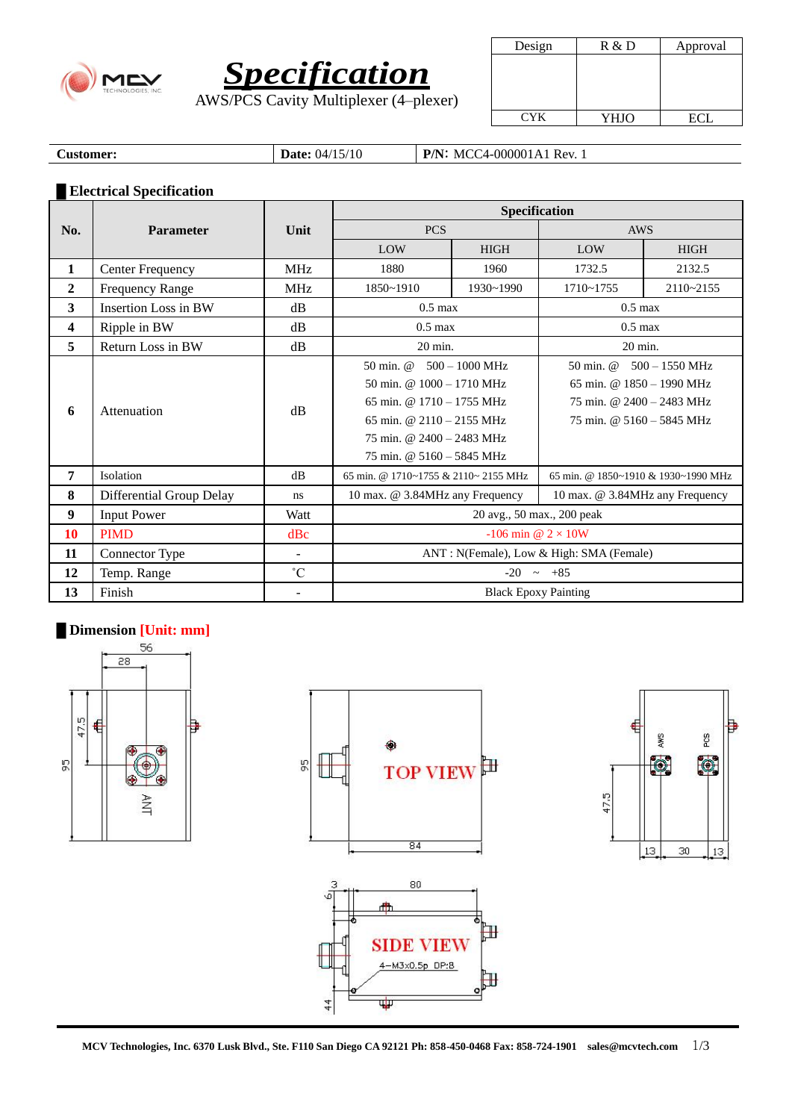



AWS/PCS Cavity Multiplexer (4–plexer)

| Design     | R & D | Approval |  |  |
|------------|-------|----------|--|--|
|            |       |          |  |  |
|            |       |          |  |  |
|            |       |          |  |  |
|            |       |          |  |  |
| <b>CYK</b> | YHJO  | ECI.     |  |  |

**Customer: Date:** 04/15/10 **P/N:** MCC4-000001A1 Rev. 1

## **█ Electrical Specification**

|                | <b>Parameter</b>            | Unit              | <b>Specification</b>                     |             |                                     |             |  |
|----------------|-----------------------------|-------------------|------------------------------------------|-------------|-------------------------------------|-------------|--|
| No.            |                             |                   | <b>PCS</b>                               |             | AWS                                 |             |  |
|                |                             |                   | LOW                                      | <b>HIGH</b> | LOW                                 | <b>HIGH</b> |  |
| 1              | <b>Center Frequency</b>     | <b>MHz</b>        | 1880                                     | 1960        | 1732.5                              | 2132.5      |  |
| $\overline{2}$ | <b>Frequency Range</b>      | <b>MHz</b>        | 1850~1910                                | 1930~1990   | $1710 - 1755$                       | 2110~2155   |  |
| 3              | <b>Insertion Loss in BW</b> | dB                | $0.5 \text{ max}$                        |             | $0.5 \text{ max}$                   |             |  |
| 4              | Ripple in BW                | dB                | $0.5 \text{ max}$                        |             | $0.5 \text{ max}$                   |             |  |
| 5              | Return Loss in BW           | dB                | 20 min.                                  |             | $20 \text{ min.}$                   |             |  |
| 6              | Attenuation                 | dB                | $500 - 1000$ MHz<br>50 min. @            |             | 50 min. @<br>$500 - 1550$ MHz       |             |  |
|                |                             |                   | 50 min. @ $1000 - 1710$ MHz              |             | 65 min. @ $1850 - 1990$ MHz         |             |  |
|                |                             |                   | 65 min. @ $1710 - 1755$ MHz              |             | 75 min. @ 2400 - 2483 MHz           |             |  |
|                |                             |                   | 65 min. @ $2110 - 2155$ MHz              |             | 75 min. @ 5160 - 5845 MHz           |             |  |
|                |                             |                   | 75 min. @ $2400 - 2483$ MHz              |             |                                     |             |  |
|                |                             |                   | 75 min. @ 5160 - 5845 MHz                |             |                                     |             |  |
| 7              | Isolation                   | dB                | 65 min. @ 1710~1755 & 2110~ 2155 MHz     |             | 65 min. @ 1850~1910 & 1930~1990 MHz |             |  |
| 8              | Differential Group Delay    | ns                | 10 max. @ 3.84MHz any Frequency          |             | 10 max. @ 3.84MHz any Frequency     |             |  |
| 9              | <b>Input Power</b>          | Watt              | 20 avg., 50 max., 200 peak               |             |                                     |             |  |
| 10             | <b>PIMD</b>                 | dBc               | -106 min @ $2 \times 10W$                |             |                                     |             |  |
| 11             | Connector Type              | ÷.                | ANT: N(Female), Low & High: SMA (Female) |             |                                     |             |  |
| 12             | Temp. Range                 | $^\circ \text{C}$ | $-20$<br>$\sim +85$                      |             |                                     |             |  |
| 13             | Finish                      |                   | <b>Black Epoxy Painting</b>              |             |                                     |             |  |

## **█ Dimension [Unit: mm]**







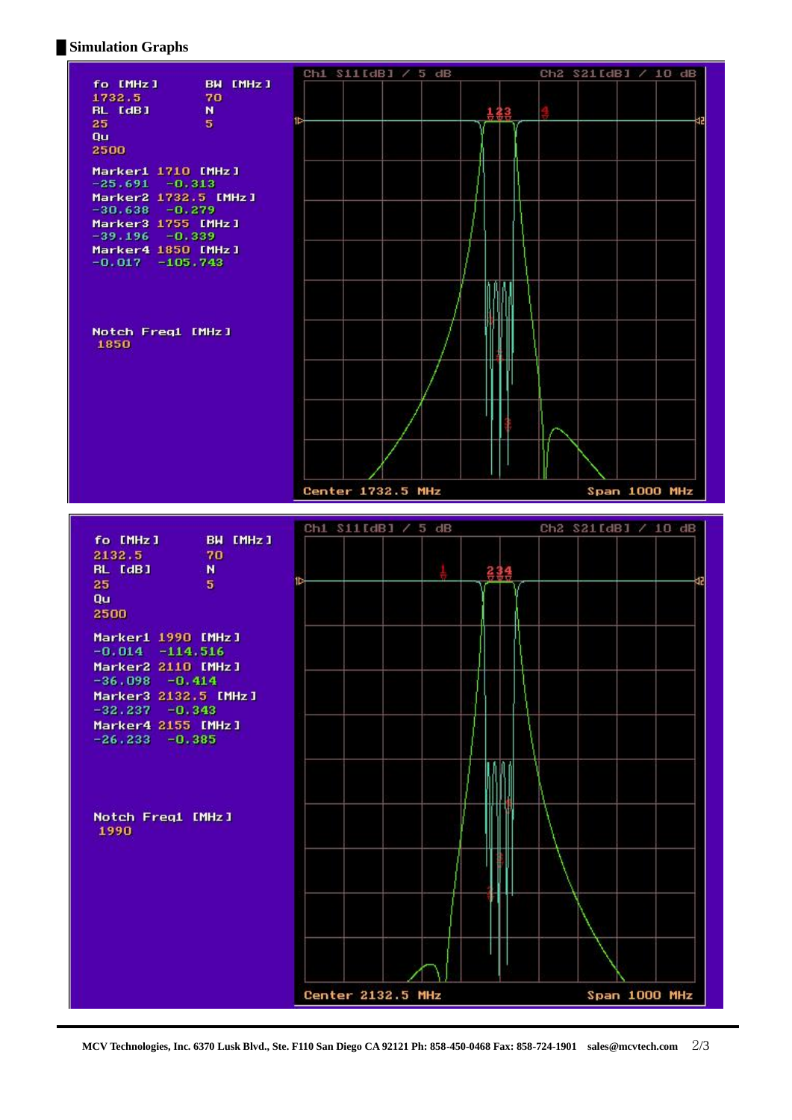## **█ Simulation Graphs**